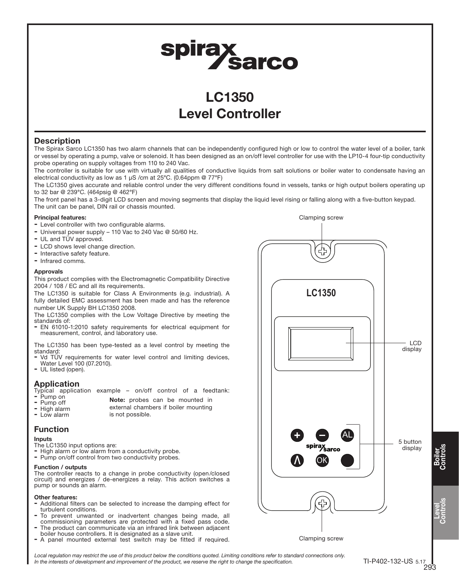# spirax<br>Sarco

# LC1350 Level Controller

#### **Description**

The Spirax Sarco LC1350 has two alarm channels that can be independently configured high or low to control the water level of a boiler, tank or vessel by operating a pump, valve or solenoid. It has been designed as an on/off level controller for use with the LP10-4 four-tip conductivity probe operating on supply voltages from 110 to 240 Vac.

The controller is suitable for use with virtually all qualities of conductive liquids from salt solutions or boiler water to condensate having an electrical conductivity as low as 1  $\mu$ S /cm at 25°C. (0.64ppm @ 77°F)

The LC1350 gives accurate and reliable control under the very different conditions found in vessels, tanks or high output boilers operating up to 32 bar @ 239°C. (464psig @ 462°F)

The front panel has a 3-digit LCD screen and moving segments that display the liquid level rising or falling along with a five-button keypad. The unit can be panel, DIN rail or chassis mounted.

#### Principal features:

- Level controller with two configurable alarms.
- Universal power supply 110 Vac to 240 Vac @ 50/60 Hz.
- UL and TÜV approved.
- LCD shows level change direction.
- Interactive safety feature.
- Infrared comms.

#### Approvals

This product complies with the Electromagnetic Compatibility Directive 2004 / 108 / EC and all its requirements.

The LC1350 is suitable for Class A Environments (e.g. industrial). A fully detailed EMC assessment has been made and has the reference number UK Supply BH LC1350 2008.

The LC1350 complies with the Low Voltage Directive by meeting the standards of:

- EN 61010-1:2010 safety requirements for electrical equipment for measurement, control, and laboratory use.

The LC1350 has been type-tested as a level control by meeting the standard:

- Vd TÜV requirements for water level control and limiting devices, Water Level 100 (07.2010).
- UL listed (open).

#### Application

- Typical application example on/off control of a feedtank: Pump on
- - Note: probes can be mounted in
- Pump off - High alarm external chambers if boiler mounting
- Low alarm is not possible.

## Function

Inputs

- The LC1350 input options are:
- High alarm or low alarm from a conductivity probe.
- Pump on/off control from two conductivity probes.

#### Function / outputs

The controller reacts to a change in probe conductivity (open/closed circuit) and energizes / de-energizes a relay. This action switches a pump or sounds an alarm.

#### Other features:

- Additional filters can be selected to increase the damping effect for turbulent conditions.
- To prevent unwanted or inadvertent changes being made, all commissioning parameters are protected with a fixed pass code.
- The product can communicate via an infrared link between adjacent boiler house controllers. It is designated as a slave unit.
- A panel mounted external test switch may be fitted if required.



Local requlation may restrict the use of this product below the conditions quoted. Limiting conditions refer to standard connections only. In the interests of development and improvement of the product, we reserve the right to change the specification.

Boiler Controls

Level Controls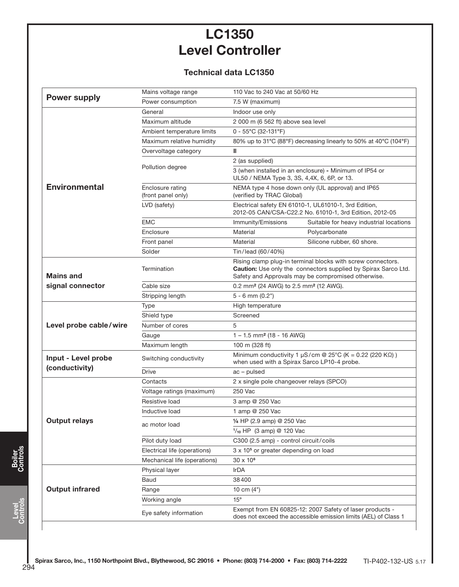# LC1350 Level Controller

## Technical data LC1350

| <b>Power supply</b>    | Mains voltage range                    | 110 Vac to 240 Vac at 50/60 Hz                                                                                                                                                             |
|------------------------|----------------------------------------|--------------------------------------------------------------------------------------------------------------------------------------------------------------------------------------------|
|                        | Power consumption                      | 7.5 W (maximum)                                                                                                                                                                            |
|                        | General                                | Indoor use only                                                                                                                                                                            |
|                        | Maximum altitude                       | 2 000 m (6 562 ft) above sea level                                                                                                                                                         |
|                        | Ambient temperature limits             | $0 - 55^{\circ}$ C (32-131°F)                                                                                                                                                              |
|                        | Maximum relative humidity              | 80% up to 31°C (88°F) decreasing linearly to 50% at 40°C (104°F)                                                                                                                           |
|                        | Overvoltage category                   | Ш                                                                                                                                                                                          |
|                        |                                        | 2 (as supplied)                                                                                                                                                                            |
|                        | Pollution degree                       | 3 (when installed in an enclosure) - Minimum of IP54 or<br>UL50 / NEMA Type 3, 3S, 4,4X, 6, 6P, or 13.                                                                                     |
| <b>Environmental</b>   | Enclosure rating<br>(front panel only) | NEMA type 4 hose down only (UL approval) and IP65<br>(verified by TRAC Global)                                                                                                             |
|                        | LVD (safety)                           | Electrical safety EN 61010-1, UL61010-1, 3rd Edition,<br>2012-05 CAN/CSA-C22.2 No. 61010-1, 3rd Edition, 2012-05                                                                           |
|                        | <b>EMC</b>                             | Immunity/Emissions<br>Suitable for heavy industrial locations                                                                                                                              |
|                        | Enclosure                              | Material<br>Polycarbonate                                                                                                                                                                  |
|                        | Front panel                            | Material<br>Silicone rubber, 60 shore.                                                                                                                                                     |
|                        | Solder                                 | Tin/lead (60/40%)                                                                                                                                                                          |
| <b>Mains and</b>       | Termination                            | Rising clamp plug-in terminal blocks with screw connectors.<br><b>Caution:</b> Use only the connectors supplied by Spirax Sarco Ltd.<br>Safety and Approvals may be compromised otherwise. |
| signal connector       | Cable size                             | 0.2 mm <sup>2</sup> (24 AWG) to 2.5 mm <sup>2</sup> (12 AWG).                                                                                                                              |
|                        | Stripping length                       | $5 - 6$ mm $(0.2")$                                                                                                                                                                        |
|                        | Type                                   | High temperature                                                                                                                                                                           |
| Level probe cable/wire | Shield type                            | Screened                                                                                                                                                                                   |
|                        | Number of cores                        | 5                                                                                                                                                                                          |
|                        | Gauge                                  | $1 - 1.5$ mm <sup>2</sup> (18 - 16 AWG)                                                                                                                                                    |
|                        | Maximum length                         | 100 m (328 ft)                                                                                                                                                                             |
| Input - Level probe    | Switching conductivity                 | Minimum conductivity 1 $\mu$ S/cm @ 25°C (K = 0.22 (220 K $\Omega$ ))<br>when used with a Spirax Sarco LP10-4 probe.                                                                       |
| (conductivity)         | <b>Drive</b>                           | $ac$ – pulsed                                                                                                                                                                              |
|                        | Contacts                               | 2 x single pole changeover relays (SPCO)                                                                                                                                                   |
| <b>Output relays</b>   | Voltage ratings (maximum)              | 250 Vac                                                                                                                                                                                    |
|                        | Resistive load                         | 3 amp @ 250 Vac                                                                                                                                                                            |
|                        | Inductive load                         | 1 amp @ 250 Vac                                                                                                                                                                            |
|                        | ac motor load                          | 1/4 HP (2.9 amp) @ 250 Vac                                                                                                                                                                 |
|                        |                                        | $\frac{1}{10}$ HP (3 amp) @ 120 Vac                                                                                                                                                        |
|                        | Pilot duty load                        | C300 (2.5 amp) - control circuit/coils                                                                                                                                                     |
|                        | Electrical life (operations)           | 3 x 10 <sup>5</sup> or greater depending on load                                                                                                                                           |
|                        | Mechanical life (operations)           | $30 \times 10^6$                                                                                                                                                                           |
| <b>Output infrared</b> | Physical layer                         | IrDA                                                                                                                                                                                       |
|                        | Baud                                   | 38400                                                                                                                                                                                      |
|                        | Range                                  | 10 cm $(4")$                                                                                                                                                                               |
|                        | Working angle                          | $15^{\circ}$                                                                                                                                                                               |
|                        | Eye safety information                 | Exempt from EN 60825-12: 2007 Safety of laser products -<br>does not exceed the accessible emission limits (AEL) of Class 1                                                                |

.